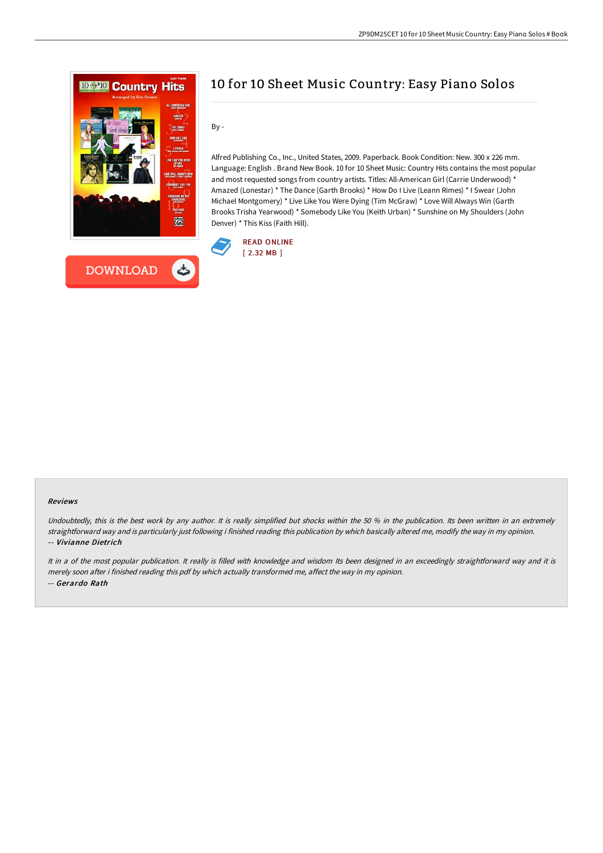



# 10 for 10 Sheet Music Country: Easy Piano Solos

By -

Alfred Publishing Co., Inc., United States, 2009. Paperback. Book Condition: New. 300 x 226 mm. Language: English . Brand New Book. 10 for 10 Sheet Music: Country Hits contains the most popular and most requested songs from country artists. Titles: All-American Girl (Carrie Underwood) \* Amazed (Lonestar) \* The Dance (Garth Brooks) \* How Do I Live (Leann Rimes) \* I Swear (John Michael Montgomery) \* Live Like You Were Dying (Tim McGraw) \* Love Will Always Win (Garth Brooks Trisha Yearwood) \* Somebody Like You (Keith Urban) \* Sunshine on My Shoulders (John Denver) \* This Kiss (Faith Hill).



#### Reviews

Undoubtedly, this is the best work by any author. It is really simplified but shocks within the 50 % in the publication. Its been written in an extremely straightforward way and is particularly just following i finished reading this publication by which basically altered me, modify the way in my opinion. -- Vivianne Dietrich

It in a of the most popular publication. It really is filled with knowledge and wisdom Its been designed in an exceedingly straightforward way and it is merely soon after i finished reading this pdf by which actually transformed me, affect the way in my opinion. -- Gerardo Rath